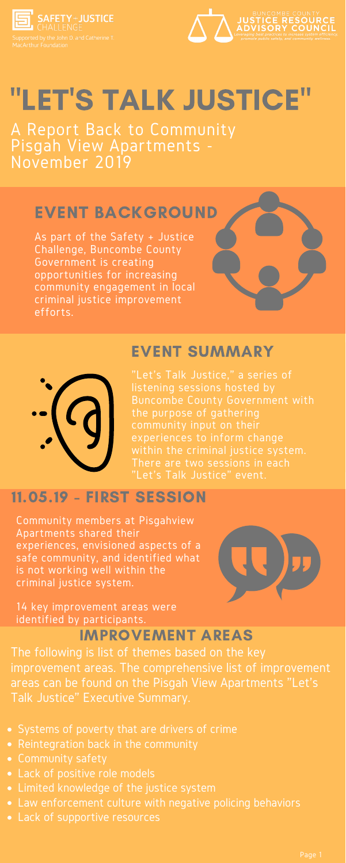

MacArthur Foundation



# "LET'S TALK JUSTICE"

A Report Back to Community Pisgah View Apartments - November 2019

> "Let's Talk Justice, " a series of listening sessions hosted by Buncombe County Government with the purpose of gathering community input on their experiences to inform change within the criminal justice system. There are two sessions in each "Let's Talk Justice" event.

### EVENT SUMMARY

Community members at Pisgahview Apartments shared their experiences, envisioned aspects of a safe community, and identified what is not working well within the criminal justice system.



- Systems of poverty that are drivers of crime
- Reintegration back in the community
- Community safety
- Lack of positive role models
- Limited knowledge of the justice system
- Law enforcement culture with negative policing behaviors
- Lack of supportive resources

14 key improvement areas were identified by participants.

## 11.05.19 - FIRST SESSION

### IMPROVEMENT AREAS

As part of the Safety + Justice Challenge, Buncombe County Government is creating opportunities for increasing community engagement in local criminal justice improvement efforts.



### EVENT BACKGROUND

The following is list of themes based on the key improvement areas. The comprehensive list of improvement areas can be found on the Pisgah View Apartments "Let's Talk Justice" Executive Summary.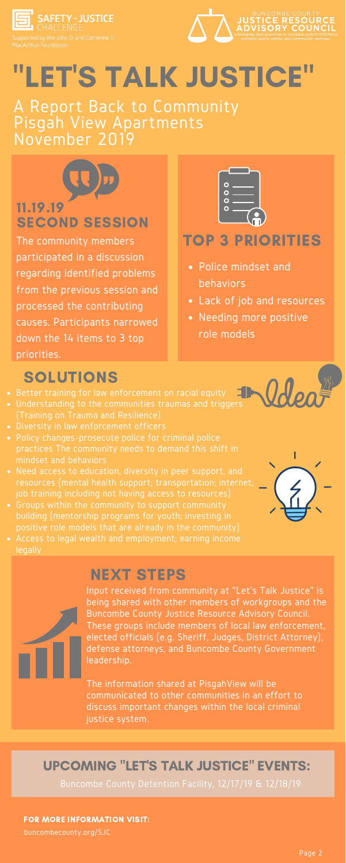

MacArthur Foundation



### 11.19.19 SECOND SESSION

The community members participated in a discussion regarding identified problems from the previous session and processed the contributing causes. Participants narrowed down the 14 items to 3 top priorities.



### TOP 3 PRIORITIES

# "LET'S TALK JUSTICE"

A Report Back to Community Pisgah View Apartments November 2019

FOR MORE INFORMATION VISIT:

buncombecounty.org/SJC

- Police mindset and behaviors
- Lack of job and resources
- Needing more positive role models

## SOLUTIONS

- Better training for law enforcement on racial equity
- Understanding to the communities traumas and triggers (Training on Trauma and Resilience)
- Diversity in law enforcement officers
- Policy changes-prosecute police for criminal police practices The community needs to demand this shift in mindset and behaviors
- Need access to education, diversity in peer support, and resources (mental health support; transportation; internet; job training including not having access to resources)
- Groups within the community to support community building (mentorship programs for youth; investing in



- positive role models that are already in the community)
- Access to legal wealth and employment; earning income legally

### NEXT STEPS

Input received from community at "Let's Talk Justice" is being shared with other members of workgroups and the Buncombe County Justice Resource Advisory Council. These groups include members of local law enforcement, elected officials (e.g. Sheriff, Judges, District Attorney), defense attorneys, and Buncombe County Government leadership.

The information shared at PisgahView will be communicated to other communities in an effort to discuss important changes within the local criminal justice system.

Buncombe County Detention Facility, 12/17/19 & 12/18/19

#### UPCOMING "LET'S TALK JUSTICE" EVENTS: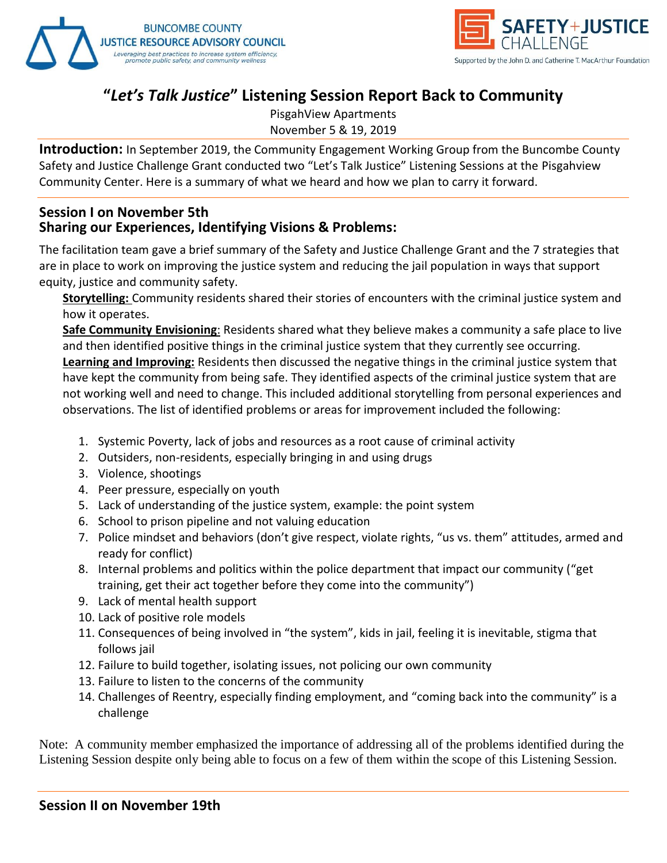



#### **"***Let's Talk Justice***" Listening Session Report Back to Community**

PisgahView Apartments November 5 & 19, 2019

**Introduction:** In September 2019, the Community Engagement Working Group from the Buncombe County Safety and Justice Challenge Grant conducted two "Let's Talk Justice" Listening Sessions at the Pisgahview Community Center. Here is a summary of what we heard and how we plan to carry it forward.

#### **Session I on November 5th Sharing our Experiences, Identifying Visions & Problems:**

The facilitation team gave a brief summary of the Safety and Justice Challenge Grant and the 7 strategies that are in place to work on improving the justice system and reducing the jail population in ways that support equity, justice and community safety.

**Storytelling:** Community residents shared their stories of encounters with the criminal justice system and how it operates.

**Safe Community Envisioning**: Residents shared what they believe makes a community a safe place to live and then identified positive things in the criminal justice system that they currently see occurring.

**Learning and Improving:** Residents then discussed the negative things in the criminal justice system that have kept the community from being safe. They identified aspects of the criminal justice system that are not working well and need to change. This included additional storytelling from personal experiences and observations. The list of identified problems or areas for improvement included the following:

- 1. Systemic Poverty, lack of jobs and resources as a root cause of criminal activity
- 2. Outsiders, non-residents, especially bringing in and using drugs
- 3. Violence, shootings
- 4. Peer pressure, especially on youth
- 5. Lack of understanding of the justice system, example: the point system
- 6. School to prison pipeline and not valuing education
- 7. Police mindset and behaviors (don't give respect, violate rights, "us vs. them" attitudes, armed and ready for conflict)
- 8. Internal problems and politics within the police department that impact our community ("get training, get their act together before they come into the community")
- 9. Lack of mental health support
- 10. Lack of positive role models
- 11. Consequences of being involved in "the system", kids in jail, feeling it is inevitable, stigma that follows jail
- 12. Failure to build together, isolating issues, not policing our own community
- 13. Failure to listen to the concerns of the community
- 14. Challenges of Reentry, especially finding employment, and "coming back into the community" is a challenge

Note: A community member emphasized the importance of addressing all of the problems identified during the Listening Session despite only being able to focus on a few of them within the scope of this Listening Session.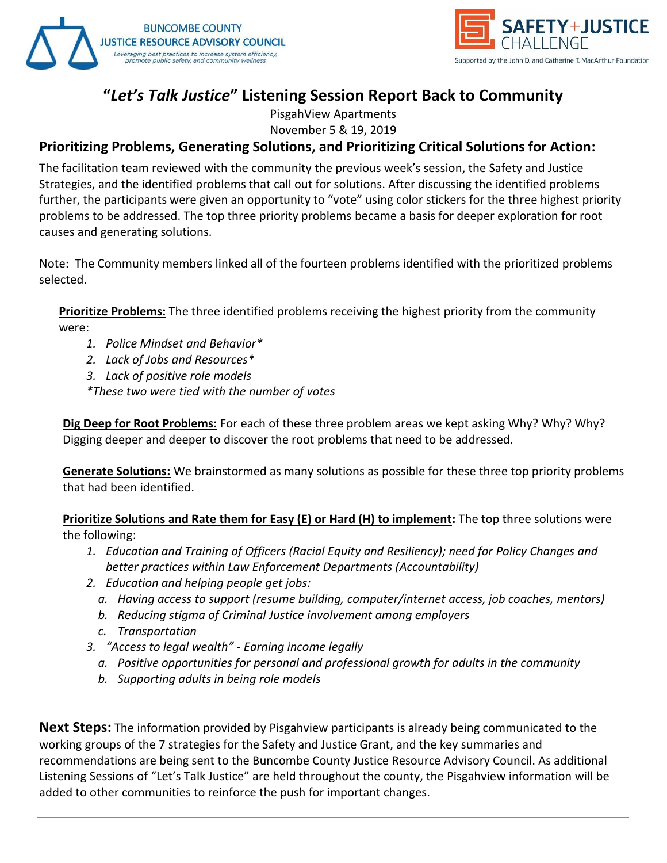



#### **"***Let's Talk Justice***" Listening Session Report Back to Community**

PisgahView Apartments November 5 & 19, 2019

#### **Prioritizing Problems, Generating Solutions, and Prioritizing Critical Solutions for Action:**

The facilitation team reviewed with the community the previous week's session, the Safety and Justice Strategies, and the identified problems that call out for solutions. After discussing the identified problems further, the participants were given an opportunity to "vote" using color stickers for the three highest priority problems to be addressed. The top three priority problems became a basis for deeper exploration for root causes and generating solutions.

Note: The Community members linked all of the fourteen problems identified with the prioritized problems selected.

**Prioritize Problems:** The three identified problems receiving the highest priority from the community were:

- *1. Police Mindset and Behavior\**
- *2. Lack of Jobs and Resources\**
- *3. Lack of positive role models*
- *\*These two were tied with the number of votes*

**Dig Deep for Root Problems:** For each of these three problem areas we kept asking Why? Why? Why? Digging deeper and deeper to discover the root problems that need to be addressed.

**Generate Solutions:** We brainstormed as many solutions as possible for these three top priority problems that had been identified.

**Prioritize Solutions and Rate them for Easy (E) or Hard (H) to implement:** The top three solutions were the following:

- *1. Education and Training of Officers (Racial Equity and Resiliency); need for Policy Changes and better practices within Law Enforcement Departments (Accountability)*
- *2. Education and helping people get jobs:* 
	- *a. Having access to support (resume building, computer/internet access, job coaches, mentors)*
	- *b. Reducing stigma of Criminal Justice involvement among employers*
	- *c. Transportation*
- *3. "Access to legal wealth" - Earning income legally*
	- *a. Positive opportunities for personal and professional growth for adults in the community*
	- *b. Supporting adults in being role models*

**Next Steps:** The information provided by Pisgahview participants is already being communicated to the working groups of the 7 strategies for the Safety and Justice Grant, and the key summaries and recommendations are being sent to the Buncombe County Justice Resource Advisory Council. As additional Listening Sessions of "Let's Talk Justice" are held throughout the county, the Pisgahview information will be added to other communities to reinforce the push for important changes.